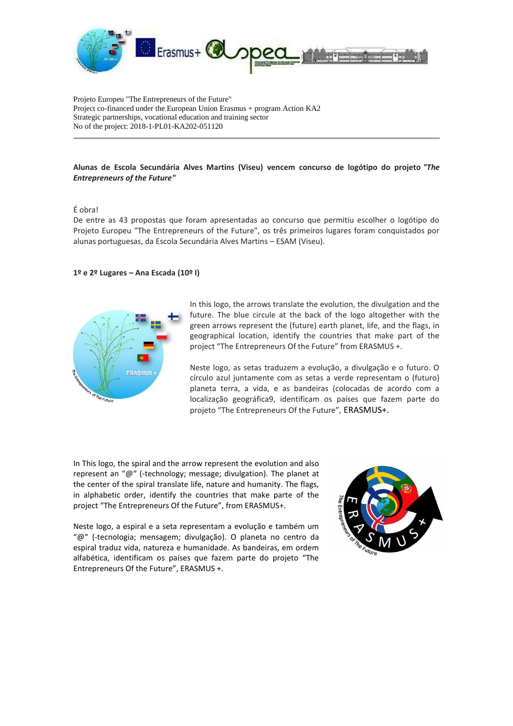

Projeto Europeu "The Entrepreneurs of the Future" Project co-financed under the European Union Erasmus + program Action KA2 Strategic partnerships, vocational education and training sector No of the project: 2018-1-PL01-KA202-051120

## **Alunas de Escola Secundária Alves Martins (Viseu) vencem concurso de logótipo do projeto** *"The Entrepreneurs of the Future"*

## É obra!

De entre as 43 propostas que foram apresentadas ao concurso que permitiu escolher o logótipo do Projeto Europeu "The Entrepreneurs of the Future", os três primeiros lugares foram conquistados por alunas portuguesas, da Escola Secundária Alves Martins – ESAM (Viseu).

## **1º e 2º Lugares – Ana Escada (10º I)**



In this logo, the arrows translate the evolution, the divulgation and the future. The blue circule at the back of the logo altogether with the green arrows represent the (future) earth planet, life, and the flags, in geographical location, identify the countries that make part of the project "The Entrepreneurs Of the Future" from ERASMUS +.

Neste logo, as setas traduzem a evolução, a divulgação e o futuro. O círculo azul juntamente com as setas a verde representam o (futuro) planeta terra, a vida, e as bandeiras (colocadas de acordo com a localização geográfica9, identificam os países que fazem parte do projeto "The Entrepreneurs Of the Future", ERASMUS+.

In This logo, the spiral and the arrow represent the evolution and also represent an "@" (-technology; message; divulgation). The planet at the center of the spiral translate life, nature and humanity. The flags, in alphabetic order, identify the countries that make parte of the project "The Entrepreneurs Of the Future", from ERASMUS+.

Neste logo, a espiral e a seta representam a evolução e também um "@" (-tecnologia; mensagem; divulgação). O planeta no centro da espiral traduz vida, natureza e humanidade. As bandeiras, em ordem alfabética, identificam os países que fazem parte do projeto "The Entrepreneurs Of the Future", ERASMUS +.